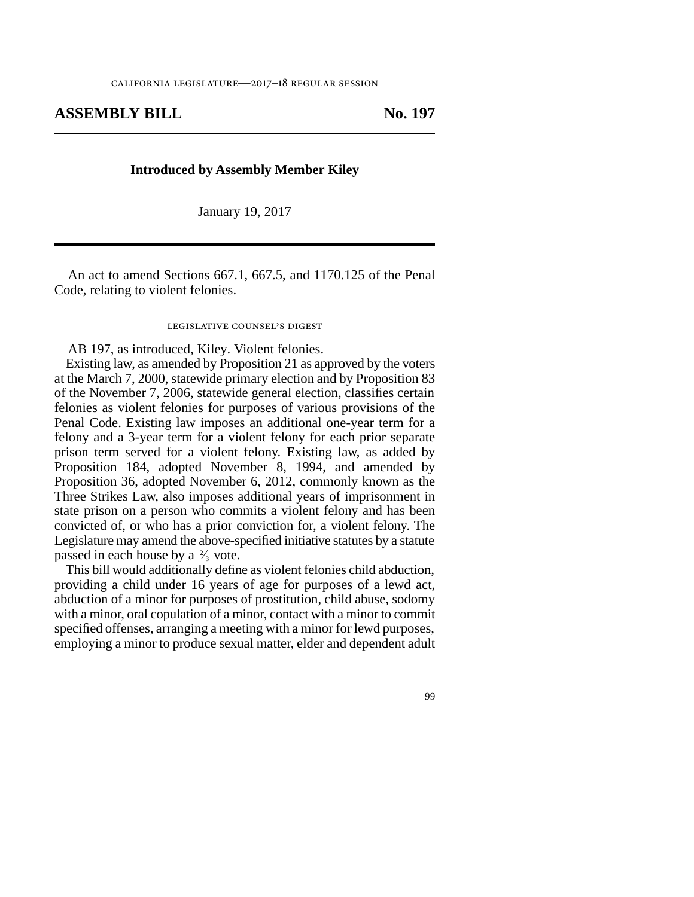## **ASSEMBLY BILL No. 197**

## **Introduced by Assembly Member Kiley**

January 19, 2017

An act to amend Sections 667.1, 667.5, and 1170.125 of the Penal Code, relating to violent felonies.

## legislative counsel's digest

AB 197, as introduced, Kiley. Violent felonies.

Existing law, as amended by Proposition 21 as approved by the voters at the March 7, 2000, statewide primary election and by Proposition 83 of the November 7, 2006, statewide general election, classifies certain felonies as violent felonies for purposes of various provisions of the Penal Code. Existing law imposes an additional one-year term for a felony and a 3-year term for a violent felony for each prior separate prison term served for a violent felony. Existing law, as added by Proposition 184, adopted November 8, 1994, and amended by Proposition 36, adopted November 6, 2012, commonly known as the Three Strikes Law, also imposes additional years of imprisonment in state prison on a person who commits a violent felony and has been convicted of, or who has a prior conviction for, a violent felony. The Legislature may amend the above-specified initiative statutes by a statute passed in each house by a  $\frac{2}{3}$  vote.

This bill would additionally define as violent felonies child abduction, providing a child under 16 years of age for purposes of a lewd act, abduction of a minor for purposes of prostitution, child abuse, sodomy with a minor, oral copulation of a minor, contact with a minor to commit specified offenses, arranging a meeting with a minor for lewd purposes, employing a minor to produce sexual matter, elder and dependent adult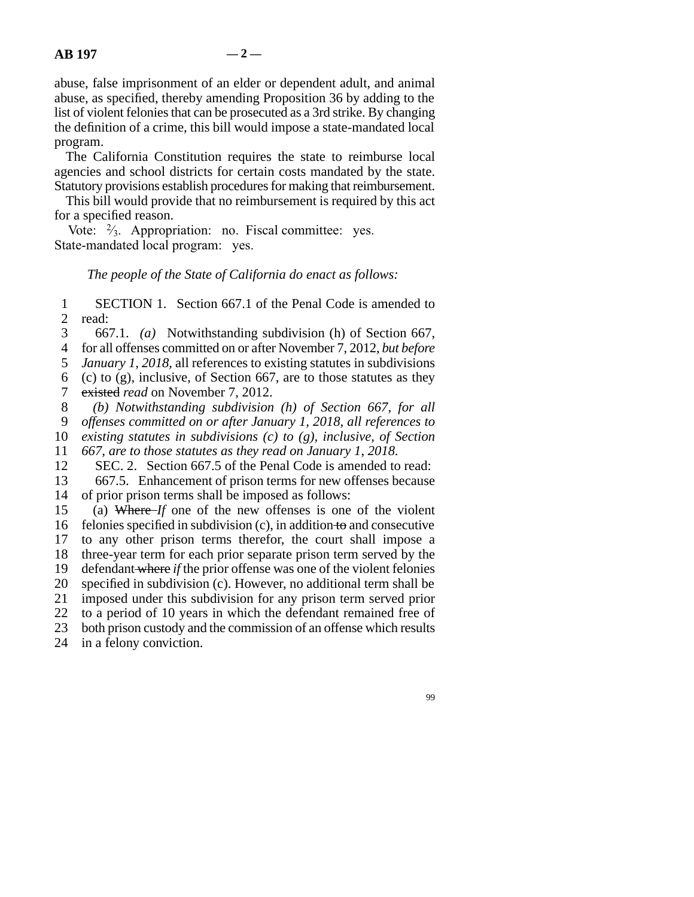abuse, false imprisonment of an elder or dependent adult, and animal abuse, as specified, thereby amending Proposition 36 by adding to the list of violent felonies that can be prosecuted as a 3rd strike. By changing the definition of a crime, this bill would impose a state-mandated local program.

The California Constitution requires the state to reimburse local agencies and school districts for certain costs mandated by the state. Statutory provisions establish procedures for making that reimbursement.

This bill would provide that no reimbursement is required by this act for a specified reason.

Vote:  $\frac{2}{3}$ . Appropriation: no. Fiscal committee: yes. State-mandated local program: yes.

## *The people of the State of California do enact as follows:*

1 SECTION 1. Section 667.1 of the Penal Code is amended to read: read:

 line 3 667.1. *(a)* Notwithstanding subdivision (h) of Section 667, line 4 for all offenses committed on or after November 7, 2012, *but before* 5 *January 1, 2018*, all references to existing statutes in subdivisions 6 (c) to (g), inclusive, of Section 667, are to those statutes as they 7 existed *read* on November 7, 2012.

line 8 *(b) Notwithstanding subdivision (h) of Section 667, for all*

line 9 *offenses committed on or after January 1, 2018, all references to*

line 10 *existing statutes in subdivisions (c) to (g), inclusive, of Section*

11 *667, are to those statutes as they read on January 1, 2018.* 

12 SEC. 2. Section 667.5 of the Penal Code is amended to read:

13 667.5. Enhancement of prison terms for new offenses because 14 of prior prison terms shall be imposed as follows:

15 (a) Where *If* one of the new offenses is one of the violent 16 felonies specified in subdivision  $(c)$ , in addition to and consecutive 17 to any other prison terms therefor, the court shall impose a 18 three-year term for each prior separate prison term served by the

19 defendant where *if* the prior offense was one of the violent felonies

20 specified in subdivision (c). However, no additional term shall be

21 imposed under this subdivision for any prison term served prior

22 to a period of 10 years in which the defendant remained free of

23 both prison custody and the commission of an offense which results

24 in a felony conviction.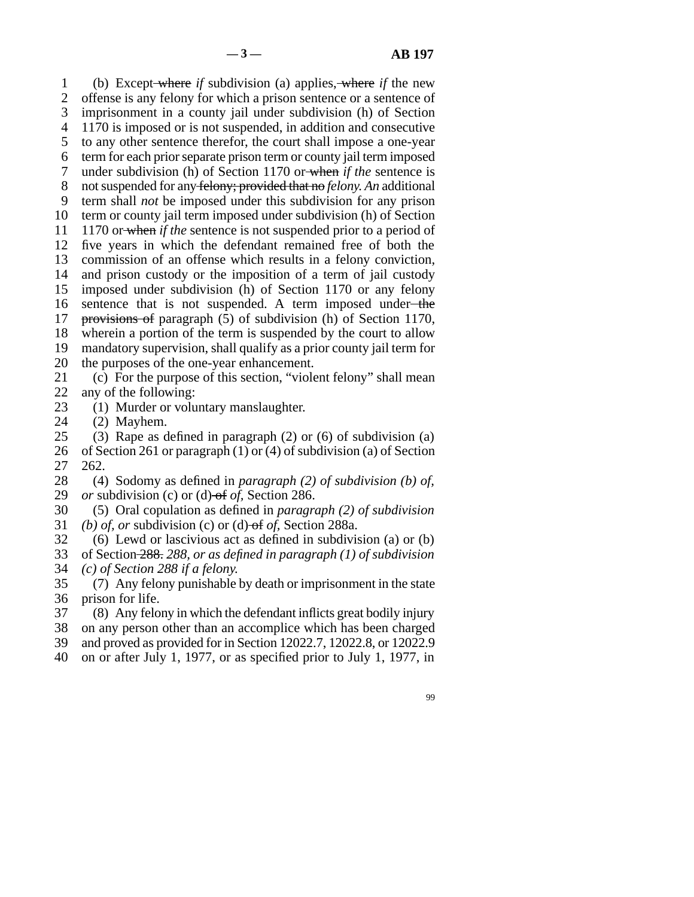line 1 (b) Except where *if* subdivision (a) applies, where *if* the new 2 offense is any felony for which a prison sentence or a sentence of 3 imprisonment in a county jail under subdivision (h) of Section line 4 1170 is imposed or is not suspended, in addition and consecutive 5 to any other sentence therefor, the court shall impose a one-year 6 term for each prior separate prison term or county jail term imposed 7 under subdivision (h) of Section 1170 or when *if the* sentence is 8 not suspended for any felony; provided that no *felony*. An additional line 9 term shall *not* be imposed under this subdivision for any prison 10 term or county jail term imposed under subdivision (h) of Section 11 1170 or when *if the* sentence is not suspended prior to a period of 12 five years in which the defendant remained free of both the 13 commission of an offense which results in a felony conviction, 14 and prison custody or the imposition of a term of jail custody 15 imposed under subdivision (h) of Section 1170 or any felony 16 sentence that is not suspended. A term imposed under-the 17 provisions of paragraph  $(5)$  of subdivision (h) of Section 1170, 18 wherein a portion of the term is suspended by the court to allow 19 mandatory supervision, shall qualify as a prior county jail term for 20 the purposes of the one-year enhancement. 21 (c) For the purpose of this section, "violent felony" shall mean

- 22 any of the following:<br>23 (1) Murder or volu  $(1)$  Murder or voluntary manslaughter.
- 24 (2) Mayhem.<br>25 (3) Rape as d
	- (3) Rape as defined in paragraph (2) or (6) of subdivision (a)

26 of Section 261 or paragraph (1) or (4) of subdivision (a) of Section 27 262.

 line 28 (4) Sodomy as defined in *paragraph (2) of subdivision (b) of,* 29 *or* subdivision (c) or (d) of *of*, Section 286.

 line 30 (5) Oral copulation as defined in *paragraph (2) of subdivision* 31 *(b) of, or* subdivision (c) or (d) of *of*, Section 288a.

 $\delta$  32 (6) Lewd or lascivious act as defined in subdivision (a) or (b)

33 of Section 288. 288, or as defined in paragraph (1) of subdivision line 34 *(c) of Section 288 if a felony.*

35 (7) Any felony punishable by death or imprisonment in the state 36 prison for life.

37 (8) Any felony in which the defendant inflicts great bodily injury

38 on any person other than an accomplice which has been charged line 39 and proved as provided for in Section 12022.7, 12022.8, or 12022.9

- 40 on or after July 1, 1977, or as specified prior to July 1, 1977, in
	- 99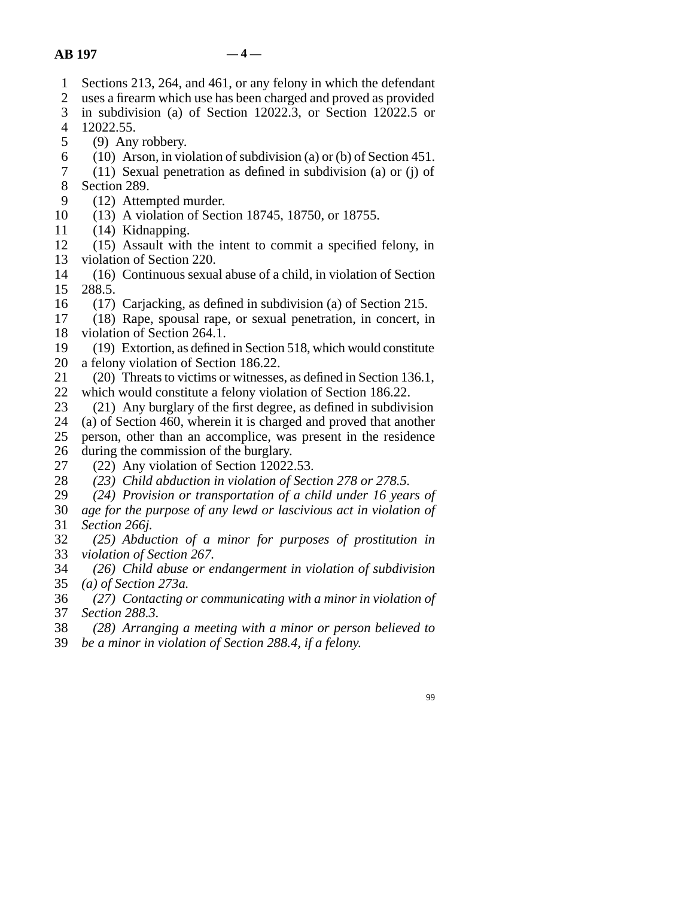- line 1 Sections 213, 264, and 461, or any felony in which the defendant
- 2 uses a firearm which use has been charged and proved as provided
- 3 in subdivision (a) of Section 12022.3, or Section 12022.5 or 4 12022.55.
- $\frac{1}{2}$  (9) Any robbery.
- 6 (10) Arson, in violation of subdivision (a) or (b) of Section 451.
- $11)$  Sexual penetration as defined in subdivision (a) or (j) of
- 8 Section 289.
- 9 (12) Attempted murder.
- 10 (13) A violation of Section 18745, 18750, or 18755.
- 11 (14) Kidnapping.
- 12 (15) Assault with the intent to commit a specified felony, in 13 violation of Section 220.
- 14 (16) Continuous sexual abuse of a child, in violation of Section 15 288.5.
- 16 (17) Carjacking, as defined in subdivision (a) of Section 215.

17 (18) Rape, spousal rape, or sexual penetration, in concert, in 18 violation of Section 264.1.

- 19 (19) Extortion, as defined in Section 518, which would constitute 20 a felony violation of Section 186.22.
- 21 (20) Threats to victims or witnesses, as defined in Section 136.1, 22 which would constitute a felony violation of Section 186.22.
- 23  $(21)$  Any burglary of the first degree, as defined in subdivision
- 24 (a) of Section 460, wherein it is charged and proved that another 25 person, other than an accomplice, was present in the residence person, other than an accomplice, was present in the residence 26 during the commission of the burglary.
- 27  $(22)$  Any violation of Section 12022.53.
- line 28 *(23) Child abduction in violation of Section 278 or 278.5.*
- line 29 *(24) Provision or transportation of a child under 16 years of*
- line 30 *age for the purpose of any lewd or lascivious act in violation of* line 31 *Section 266j.*
- line 32 *(25) Abduction of a minor for purposes of prostitution in* 33 *violation of Section 267.*
- line 34 *(26) Child abuse or endangerment in violation of subdivision* line 35 *(a) of Section 273a.*
- line 36 *(27) Contacting or communicating with a minor in violation of* line 37 *Section 288.3.*
- line 38 *(28) Arranging a meeting with a minor or person believed to*
- line 39 *be a minor in violation of Section 288.4, if a felony.*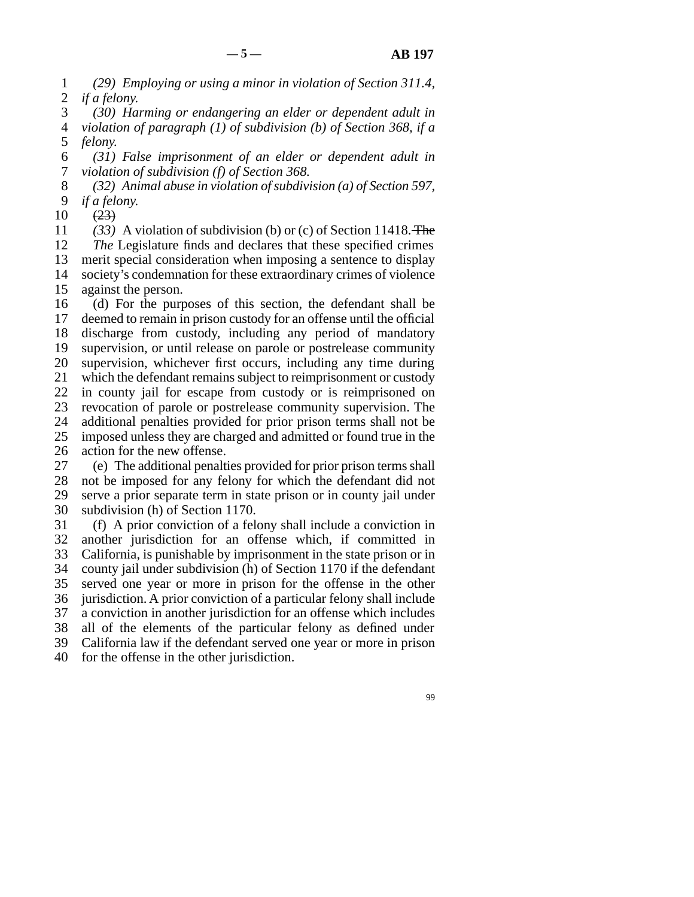line 1 *(29) Employing or using a minor in violation of Section 311.4,* 2 *if a felony.* 

 line 3 *(30) Harming or endangering an elder or dependent adult in* line 4 *violation of paragraph (1) of subdivision (b) of Section 368, if a* 5 *felony*.

 line 6 *(31) False imprisonment of an elder or dependent adult in* 7 *violation of subdivision (f) of Section 368.* 

 line 8 *(32) Animal abuse in violation of subdivision (a) of Section 597,* 9 *if a felony.* 

 $10 \frac{23}{3}$ 

11 (33) A violation of subdivision (b) or (c) of Section 11418. The 12 *The* Legislature finds and declares that these specified crimes 13 merit special consideration when imposing a sentence to display 14 society's condemnation for these extraordinary crimes of violence

15 against the person.

16 (d) For the purposes of this section, the defendant shall be 17 deemed to remain in prison custody for an offense until the official 18 discharge from custody, including any period of mandatory 19 supervision, or until release on parole or postrelease community 20 supervision, whichever first occurs, including any time during 21 which the defendant remains subject to reimprisonment or custody 22 in county jail for escape from custody or is reimprisoned on 23 revocation of parole or postrelease community supervision. The 24 additional penalties provided for prior prison terms shall not be imposed unless they are charged and admitted or found true in the imposed unless they are charged and admitted or found true in the 26 action for the new offense.

27 (e) The additional penalties provided for prior prison terms shall 28 not be imposed for any felony for which the defendant did not 29 serve a prior separate term in state prison or in county jail under 30 subdivision (h) of Section 1170.

31 (f) A prior conviction of a felony shall include a conviction in 32 another jurisdiction for an offense which, if committed in 33 California, is punishable by imprisonment in the state prison or in 34 county jail under subdivision (h) of Section 1170 if the defendant 35 served one year or more in prison for the offense in the other 36 jurisdiction. A prior conviction of a particular felony shall include 37 a conviction in another jurisdiction for an offense which includes 38 all of the elements of the particular felony as defined under 39 California law if the defendant served one year or more in prison 40 for the offense in the other jurisdiction.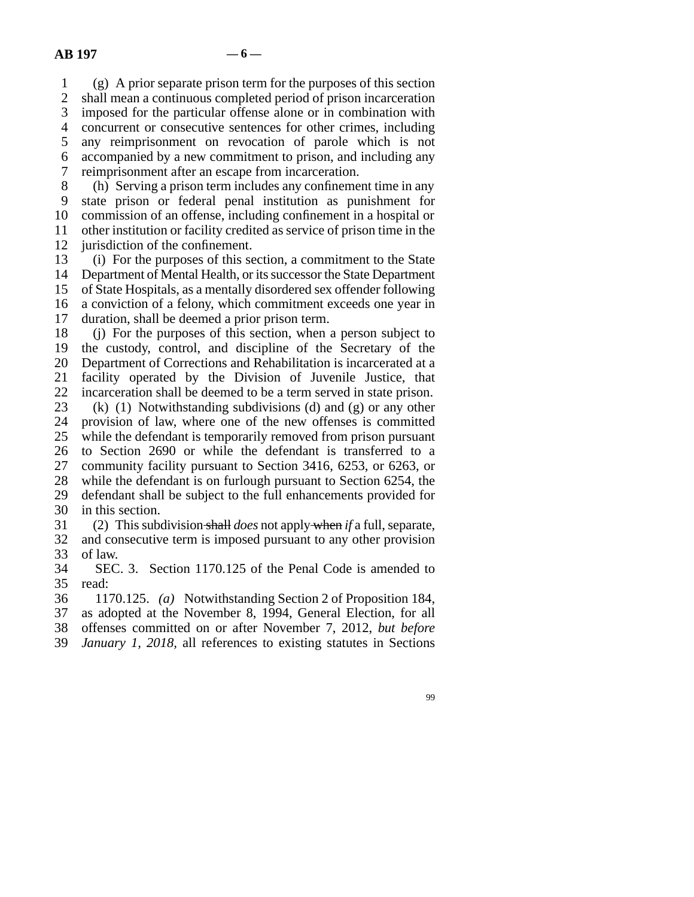$\mathbf{I}$  (g) A prior separate prison term for the purposes of this section 2 shall mean a continuous completed period of prison incarceration<br>3 imposed for the particular offense alone or in combination with imposed for the particular offense alone or in combination with 4 concurrent or consecutive sentences for other crimes, including 5 any reimprisonment on revocation of parole which is not line 6 accompanied by a new commitment to prison, and including any 7 reimprisonment after an escape from incarceration.

8 (h) Serving a prison term includes any confinement time in any line 9 state prison or federal penal institution as punishment for 10 commission of an offense, including confinement in a hospital or 11 other institution or facility credited as service of prison time in the 12 jurisdiction of the confinement.

13 (i) For the purposes of this section, a commitment to the State 14 Department of Mental Health, or its successor the State Department 15 of State Hospitals, as a mentally disordered sex offender following 16 a conviction of a felony, which commitment exceeds one year in 17 duration, shall be deemed a prior prison term.

 $18$  (j) For the purposes of this section, when a person subject to 19 the custody, control, and discipline of the Secretary of the 20 Department of Corrections and Rehabilitation is incarcerated at a 21 facility operated by the Division of Juvenile Justice, that 22 incarceration shall be deemed to be a term served in state prison.<br>23 (k) (1) Notwithstanding subdivisions (d) and (g) or any other (k)  $(1)$  Notwithstanding subdivisions (d) and  $(g)$  or any other

24 provision of law, where one of the new offenses is committed 25 while the defendant is temporarily removed from prison pursuant while the defendant is temporarily removed from prison pursuant 26 to Section 2690 or while the defendant is transferred to a 27 community facility pursuant to Section 3416, 6253, or 6263, or 28 while the defendant is on furlough pursuant to Section  $6254$ , the 29 defendant shall be subject to the full enhancements provided for 30 in this section.

 line 31 (2) This subdivision shall *does* not apply when *if* a full, separate, 32 and consecutive term is imposed pursuant to any other provision 33 of law.

 line 34 SEC. 3. Section 1170.125 of the Penal Code is amended to 35 read:

 line 36 1170.125. *(a)* Notwithstanding Section 2 of Proposition 184, 37 as adopted at the November 8, 1994, General Election, for all 38 offenses committed on or after November 7, 2012, *but before* 

39 *January 1, 2018*, all references to existing statutes in Sections